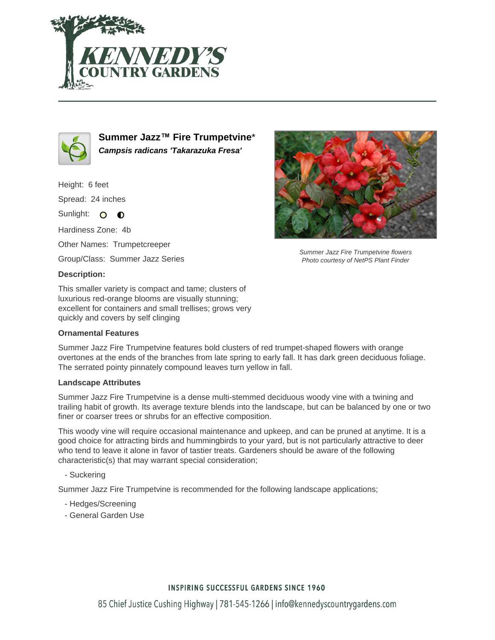



**Summer Jazz™ Fire Trumpetvine**\* **Campsis radicans 'Takarazuka Fresa'**

Height: 6 feet Spread: 24 inches Sunlight: O **O** 

Hardiness Zone: 4b

Other Names: Trumpetcreeper

Group/Class: Summer Jazz Series

#### **Description:**

This smaller variety is compact and tame; clusters of luxurious red-orange blooms are visually stunning; excellent for containers and small trellises; grows very quickly and covers by self clinging

## **Ornamental Features**

Summer Jazz Fire Trumpetvine features bold clusters of red trumpet-shaped flowers with orange overtones at the ends of the branches from late spring to early fall. It has dark green deciduous foliage. The serrated pointy pinnately compound leaves turn yellow in fall.

## **Landscape Attributes**

Summer Jazz Fire Trumpetvine is a dense multi-stemmed deciduous woody vine with a twining and trailing habit of growth. Its average texture blends into the landscape, but can be balanced by one or two finer or coarser trees or shrubs for an effective composition.

This woody vine will require occasional maintenance and upkeep, and can be pruned at anytime. It is a good choice for attracting birds and hummingbirds to your yard, but is not particularly attractive to deer who tend to leave it alone in favor of tastier treats. Gardeners should be aware of the following characteristic(s) that may warrant special consideration;

# - Suckering

Summer Jazz Fire Trumpetvine is recommended for the following landscape applications;

- Hedges/Screening
- General Garden Use



Summer Jazz Fire Trumpetvine flowers Photo courtesy of NetPS Plant Finder

# **INSPIRING SUCCESSFUL GARDENS SINCE 1960**

85 Chief Justice Cushing Highway | 781-545-1266 | info@kennedyscountrygardens.com